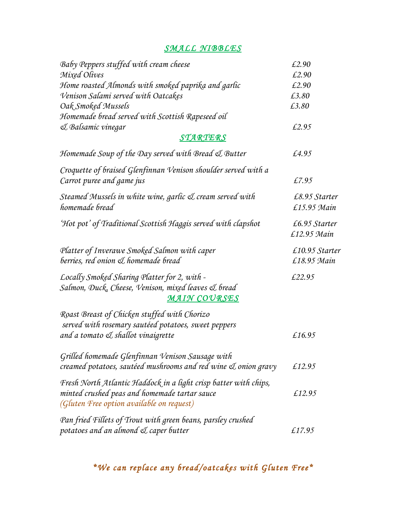### *SMALL NIBBLES*

| Baby Peppers stuffed with cream cheese                           | £2.90          |
|------------------------------------------------------------------|----------------|
| Mixed Olives                                                     | £2.90          |
| Home roasted Almonds with smoked paprika and garlic              | £2.90          |
| Venison Salami served with Oatcakes                              | £3.80          |
| Oak Smoked Mussels                                               | £3.80          |
| Homemade bread served with Scottish Rapeseed oil                 |                |
| & Balsamic vinegar                                               | £2.95          |
| STARTERS                                                         |                |
| Homemade Soup of the Day served with Bread & Butter              | £4.95          |
| Croquette of braised Glenfinnan Venison shoulder served with a   |                |
| Carrot puree and game jus                                        | £7.95          |
| Steamed Mussels in white wine, garlic & cream served with        | £8.95 Starter  |
| homemade bread                                                   | £15.95 Main    |
| 'Hot pot' of Traditional Scottish Haggis served with clapshot    | £6.95 Starter  |
|                                                                  | £12.95 Main    |
| Platter of Inverawe Smoked Salmon with caper                     | £10.95 Starter |
| berries, red onion & homemade bread                              | £18.95 Main    |
| Locally Smoked Sharing Platter for 2, with -                     | £22.95         |
| Salmon, Duck, Cheese, Venison, mixed leaves & bread              |                |
| <b>MAIN COURSES</b>                                              |                |
| Roast Breast of Chicken stuffed with Chorizo                     |                |
| served with rosemary sautéed potatoes, sweet peppers             |                |
| and a tomato & shallot vinaigrette                               | £16.95         |
| Grilled homemade Glenfinnan Venison Sausage with                 |                |
| creamed potatoes, sautéed mushrooms and red wine & onion gravy   | £12.95         |
| Fresh North Atlantic Haddock in a light crisp batter with chips, |                |
| minted crushed peas and homemade tartar sauce                    | £12.95         |
| (Gluten Free option available on request)                        |                |
| Pan fried Fillets of Trout with green beans, parsley crushed     |                |
| potatoes and an almond & caper butter                            | £17.95         |

*\*We can replace any bread/oatcakes with Gluten Free\**